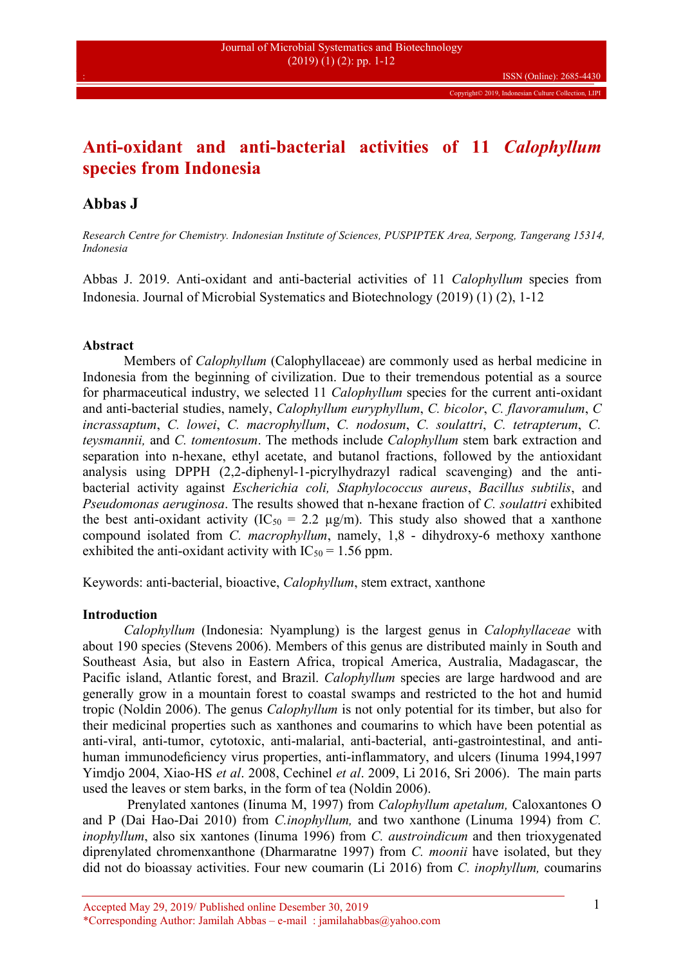# **Anti-oxidant and anti-bacterial activities of 11** *Calophyllum* **species from Indonesia**

## **Abbas J**

*Research Centre for Chemistry. Indonesian Institute of Sciences, PUSPIPTEK Area, Serpong, Tangerang 15314, Indonesia*

Abbas J. 2019. Anti-oxidant and anti-bacterial activities of 11 *Calophyllum* species from Indonesia. Journal of Microbial Systematics and Biotechnology (2019) (1) (2), 1-12

## **Abstract**

Members of *Calophyllum* (Calophyllaceae) are commonly used as herbal medicine in Indonesia from the beginning of civilization. Due to their tremendous potential as a source for pharmaceutical industry, we selected 11 *Calophyllum* species for the current anti-oxidant and anti-bacterial studies, namely, *Calophyllum euryphyllum*, *C. bicolor*, *C. flavoramulum*, *C incrassaptum*, *C. lowei*, *C. macrophyllum*, *C. nodosum*, *C. soulattri*, *C. tetrapterum*, *C. teysmannii,* and *C. tomentosum*. The methods include *Calophyllum* stem bark extraction and separation into n-hexane, ethyl acetate, and butanol fractions, followed by the antioxidant analysis using DPPH (2,2-diphenyl-1-picrylhydrazyl radical scavenging) and the anti bacterial activity against *Escherichia coli, Staphylococcus aureus*, *Bacillus subtilis*, and *Pseudomonas aeruginosa*. The results showed that n-hexane fraction of *C. soulattri* exhibited the best anti-oxidant activity (IC<sub>50</sub> = 2.2  $\mu$ g/m). This study also showed that a xanthone compound isolated from *C. macrophyllum*, namely, 1,8 - dihydroxy-6 methoxy xanthone exhibited the anti-oxidant activity with  $IC_{50} = 1.56$  ppm.

Keywords: anti-bacterial, bioactive, *Calophyllum*, stem extract, xanthone

## **Introduction**

*Calophyllum* (Indonesia: Nyamplung) is the largest genus in *Calophyllaceae* with about 190 species (Stevens 2006). Members of this genus are distributed mainly in South and Southeast Asia, but also in Eastern Africa, tropical America, Australia, Madagascar, the Pacific island, Atlantic forest, and Brazil. *Calophyllum* species are large hardwood and are generally grow in a mountain forest to coastal swamps and restricted to the hot and humid tropic (Noldin 2006). The genus *Calophyllum* is not only potential for its timber, but also for their medicinal properties such as xanthones and coumarins to which have been potential as anti-viral, anti-tumor, cytotoxic, anti-malarial, anti-bacterial, anti-gastrointestinal, and anti human immunodeficiency virus properties, anti-inflammatory, and ulcers (Iinuma 1994,1997 Yimdjo 2004, Xiao-HS *et al*. 2008, Cechinel *et al*. 2009, Li 2016, Sri 2006). The main parts used the leaves or stem barks, in the form of tea (Noldin 2006).

Prenylated xantones (Iinuma M, 1997) from *Calophyllum apetalum,* Caloxantones O and P (Dai Hao-Dai 2010) from *C.inophyllum,* and two xanthone (Linuma 1994) from *C. inophyllum*, also six xantones (Iinuma 1996) from *C. austroindicum* and then trioxygenated diprenylated chromenxanthone (Dharmaratne 1997) from *C. moonii* have isolated, but they did not do bioassay activities. Four new coumarin (Li 2016) from *C. inophyllum,* coumarins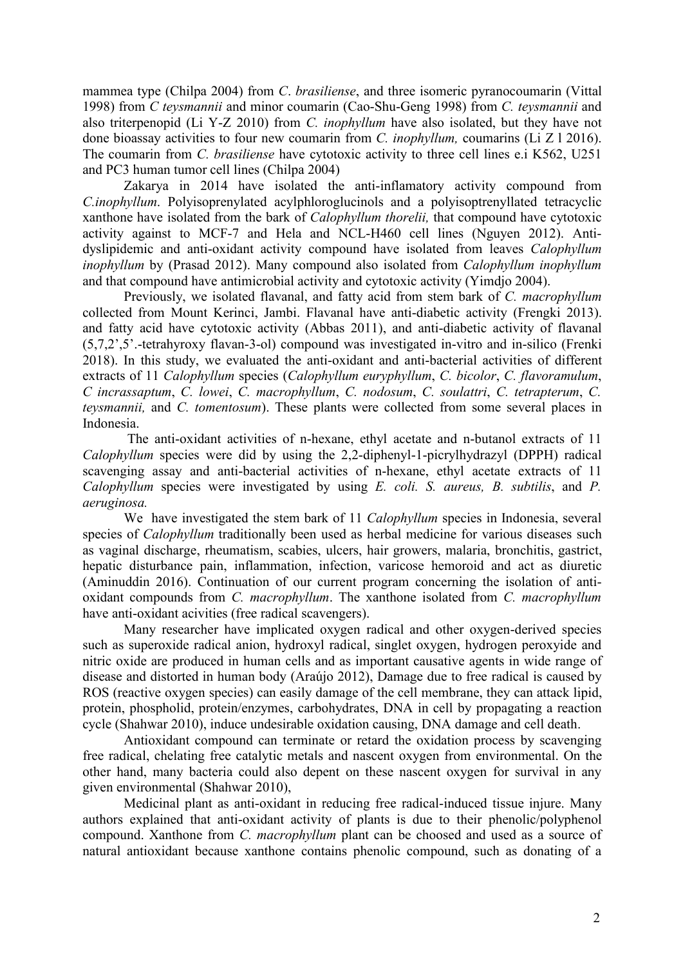mammea type (Chilpa 2004) from *C*. *brasiliense*, and three isomeric pyranocoumarin (Vittal 1998) from *C teysmannii* and minor coumarin (Cao-Shu-Geng 1998) from *C. teysmannii* and also triterpenopid (Li Y-Z 2010) from *C. inophyllum* have also isolated, but they have not done bioassay activities to four new coumarin from *C. inophyllum,* coumarins (Li Z l 2016). The coumarin from *C. brasiliense* have cytotoxic activity to three cell lines e.i K562, U251 and PC3 human tumor cell lines (Chilpa 2004)

Zakarya in 2014 have isolated the anti-inflamatory activity compound from *C.inophyllum*. Polyisoprenylated acylphloroglucinols and a polyisoptrenyllated tetracyclic xanthone have isolated from the bark of *Calophyllum thorelii,* that compound have cytotoxic activity against to MCF-7 and Hela and NCL-H460 cell lines (Nguyen 2012). Anti dyslipidemic and anti-oxidant activity compound have isolated from leaves *Calophyllum inophyllum* by (Prasad 2012). Many compound also isolated from *Calophyllum inophyllum* and that compound have antimicrobial activity and cytotoxic activity (Yimdjo 2004).

Previously, we isolated flavanal, and fatty acid from stem bark of *C. macrophyllum* collected from Mount Kerinci, Jambi. Flavanal have anti-diabetic activity (Frengki 2013). and fatty acid have cytotoxic activity (Abbas 2011), and anti-diabetic activity of flavanal (5,7,2',5'.-tetrahyroxy flavan-3-ol) compound was investigated in-vitro and in-silico (Frenki 2018). In this study, we evaluated the anti-oxidant and anti-bacterial activities of different extracts of 11 *Calophyllum* species (*Calophyllum euryphyllum*, *C. bicolor*, *C. flavoramulum*, *C incrassaptum*, *C. lowei*, *C. macrophyllum*, *C. nodosum*, *C. soulattri*, *C. tetrapterum*, *C. teysmannii,* and *C. tomentosum*). These plants were collected from some several places in Indonesia.

The anti-oxidant activities of n-hexane, ethyl acetate and n-butanol extracts of 11 *Calophyllum* species were did by using the 2,2-diphenyl-1-picrylhydrazyl (DPPH) radical scavenging assay and anti-bacterial activities of n-hexane, ethyl acetate extracts of 11 *Calophyllum* species were investigated by using *E. coli. S. aureus, B. subtilis*, and *P. aeruginosa.*

We have investigated the stem bark of 11 *Calophyllum* species in Indonesia, several species of *Calophyllum* traditionally been used as herbal medicine for various diseases such as vaginal discharge, rheumatism, scabies, ulcers, hair growers, malaria, bronchitis, gastrict, hepatic disturbance pain, inflammation, infection, varicose hemoroid and act as diuretic (Aminuddin 2016). Continuation of our current program concerning the isolation of anti oxidant compounds from *C. macrophyllum*. The xanthone isolated from *C. macrophyllum* have anti-oxidant acivities (free radical scavengers).

Many researcher have implicated oxygen radical and other oxygen-derived species such as superoxide radical anion, hydroxyl radical, singlet oxygen, hydrogen peroxyide and nitric oxide are produced in human cells and as important causative agents in wide range of disease and distorted in human body (Araújo 2012), Damage due to free radical is caused by ROS (reactive oxygen species) can easily damage of the cell membrane, they can attack lipid, protein, phospholid, protein/enzymes, carbohydrates, DNA in cell by propagating a reaction cycle (Shahwar 2010), induce undesirable oxidation causing, DNA damage and cell death.

Antioxidant compound can terminate or retard the oxidation process by scavenging free radical, chelating free catalytic metals and nascent oxygen from environmental. On the other hand, many bacteria could also depent on these nascent oxygen for survival in any given environmental (Shahwar 2010),

Medicinal plant as anti-oxidant in reducing free radical-induced tissue injure. Many authors explained that anti-oxidant activity of plants is due to their phenolic/polyphenol compound. Xanthone from *C. macrophyllum* plant can be choosed and used as a source of natural antioxidant because xanthone contains phenolic compound, such as donating of a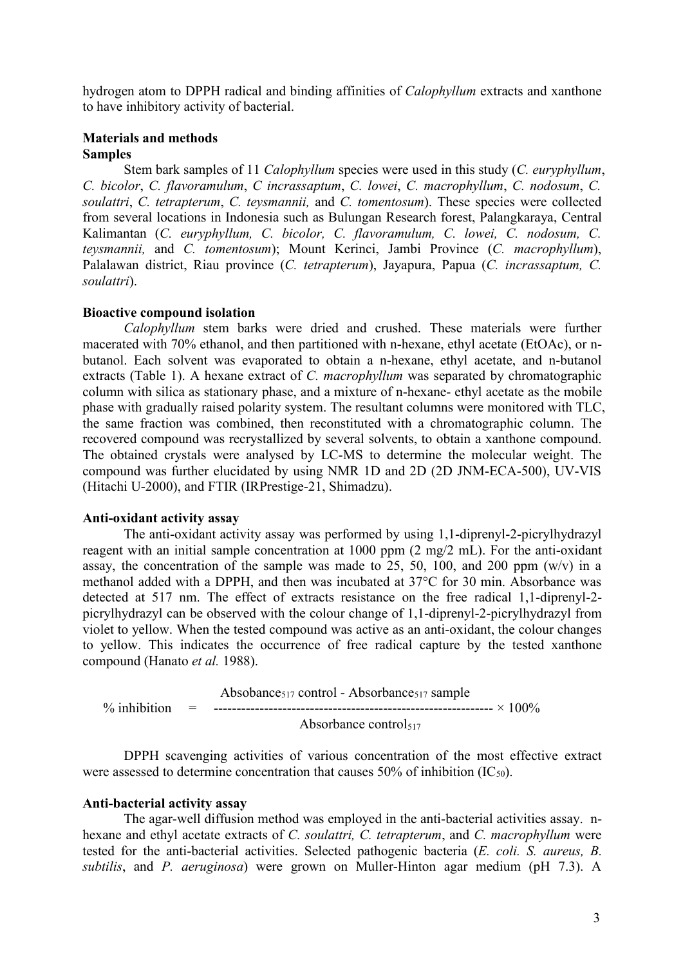hydrogen atom to DPPH radical and binding affinities of *Calophyllum* extracts and xanthone to have inhibitory activity of bacterial.

## **Materials and methods Samples**

Stem bark samples of 11 *Calophyllum* species were used in this study (*C. euryphyllum*, *C. bicolor*, *C. flavoramulum*, *C incrassaptum*, *C. lowei*, *C. macrophyllum*, *C. nodosum*, *C. soulattri*, *C. tetrapterum*, *C. teysmannii,* and *C. tomentosum*). These species were collected from several locations in Indonesia such as Bulungan Research forest, Palangkaraya, Central Kalimantan (*C. euryphyllum, C. bicolor, C. flavoramulum, C. lowei, C. nodosum, C. teysmannii,* and *C. tomentosum*); Mount Kerinci, Jambi Province (*C. macrophyllum*), Palalawan district, Riau province (*C. tetrapterum*), Jayapura, Papua (*C. incrassaptum, C. soulattri*).

### **Bioactive compound isolation**

*Calophyllum* stem barks were dried and crushed. These materials were further macerated with 70% ethanol, and then partitioned with n-hexane, ethyl acetate (EtOAc), or n butanol. Each solvent was evaporated to obtain a n-hexane, ethyl acetate, and n-butanol extracts (Table 1). A hexane extract of*C. macrophyllum* was separated by chromatographic column with silica as stationary phase, and a mixture of n-hexane- ethyl acetate as the mobile phase with gradually raised polarity system. The resultant columns were monitored with TLC, the same fraction was combined, then reconstituted with a chromatographic column. The recovered compound was recrystallized by several solvents, to obtain a xanthone compound. The obtained crystals were analysed by LC-MS to determine the molecular weight. The compound was further elucidated by using NMR 1D and 2D (2D JNM-ECA-500), UV-VIS (Hitachi U-2000), and FTIR (IRPrestige-21, Shimadzu).

#### **Anti-oxidant activity assay**

The anti-oxidant activity assay was performed by using 1,1-diprenyl-2-picrylhydrazyl reagent with an initial sample concentration at 1000 ppm (2 mg/2 mL). For the anti-oxidant assay, the concentration of the sample was made to 25, 50, 100, and 200 ppm  $(w/v)$  in a methanol added with a DPPH, and then was incubated at 37°C for 30 min. Absorbance was detected at 517 nm. The effect of extracts resistance on the free radical 1,1-diprenyl-2 picrylhydrazyl can be observed with the colour change of 1,1-diprenyl-2-picrylhydrazyl from violet to yellow. When the tested compound was active as an anti-oxidant, the colour changes to yellow. This indicates the occurrence of free radical capture by the tested xanthone compound (Hanato *et al.* 1988).

Absobance<sub>517</sub> control - Absorbance<sub>517</sub> sample % inhibition = ------------------------------------------------------------- × 100% Absorbance control $517$ 

DPPH scavenging activities of various concentration of the most effective extract were assessed to determine concentration that causes 50% of inhibition  $(IC_{50})$ .

#### **Anti-bacterial activity assay**

The agar-well diffusion method was employed in the anti-bacterial activities assay. nhexane and ethyl acetate extracts of *C. soulattri, C. tetrapterum*, and *C. macrophyllum* were tested for the anti-bacterial activities. Selected pathogenic bacteria (*E. coli. S. aureus, B. subtilis*, and *P. aeruginosa*) were grown on Muller-Hinton agar medium (pH 7.3). A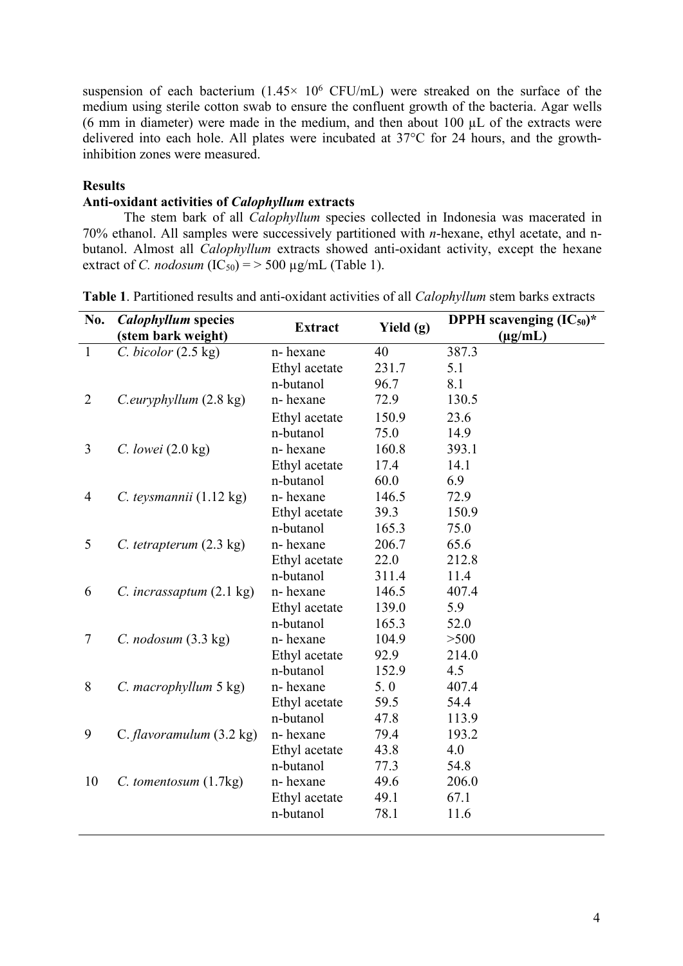suspension of each bacterium  $(1.45 \times 10^6 \text{ CFU/mL})$  were streaked on the surface of the medium using sterile cotton swab to ensure the confluent growth of the bacteria. Agar wells (6 mm in diameter) were made in the medium, and then about 100 µL of the extracts were delivered into each hole. All plates were incubated at 37°C for 24 hours, and the growthinhibition zones were measured.

## **Results**

## **Anti-oxidant activities of** *Calophyllum* **extracts**

The stem bark of all *Calophyllum* species collected in Indonesia was macerated in 70% ethanol. All samples were successively partitioned with *n*-hexane, ethyl acetate, and n butanol. Almost all *Calophyllum* extracts showed anti-oxidant activity, except the hexane extract of *C. nodosum* (IC<sub>50</sub>) = > 500  $\mu$ g/mL (Table 1).

| No.            | <b>Calophyllum</b> species<br>(stem bark weight) | <b>Extract</b> | Yield $(g)$ | <b>DPPH</b> scavenging $(IC_{50})^*$<br>$(\mu g/mL)$ |
|----------------|--------------------------------------------------|----------------|-------------|------------------------------------------------------|
| $\mathbf{1}$   | C. bicolor (2.5 kg)                              | n-hexane       | 40          | 387.3                                                |
|                |                                                  | Ethyl acetate  | 231.7       | 5.1                                                  |
|                |                                                  | n-butanol      | 96.7        | 8.1                                                  |
| $\overline{2}$ | C.euryphyllum (2.8 kg)                           | n-hexane       | 72.9        | 130.5                                                |
|                |                                                  | Ethyl acetate  | 150.9       | 23.6                                                 |
|                |                                                  | n-butanol      | 75.0        | 14.9                                                 |
| $\overline{3}$ | $C.$ lowei $(2.0 \text{ kg})$                    | n-hexane       | 160.8       | 393.1                                                |
|                |                                                  | Ethyl acetate  | 17.4        | 14.1                                                 |
|                |                                                  | n-butanol      | 60.0        | 6.9                                                  |
| 4              | C. teysmannii (1.12 kg)                          | n-hexane       | 146.5       | 72.9                                                 |
|                |                                                  | Ethyl acetate  | 39.3        | 150.9                                                |
|                |                                                  | n-butanol      | 165.3       | 75.0                                                 |
| 5              | C. tetrapterum $(2.3 \text{ kg})$                | n-hexane       | 206.7       | 65.6                                                 |
|                |                                                  | Ethyl acetate  | 22.0        | 212.8                                                |
|                |                                                  | n-butanol      | 311.4       | 11.4                                                 |
| 6              | C. incrassaptum $(2.1 \text{ kg})$               | n-hexane       | 146.5       | 407.4                                                |
|                |                                                  | Ethyl acetate  | 139.0       | 5.9                                                  |
|                |                                                  | n-butanol      | 165.3       | 52.0                                                 |
| $\overline{7}$ | $C.$ nodosum $(3.3 \text{ kg})$                  | n-hexane       | 104.9       | >500                                                 |
|                |                                                  | Ethyl acetate  | 92.9        | 214.0                                                |
|                |                                                  | n-butanol      | 152.9       | 4.5                                                  |
| 8              | C. macrophyllum 5 kg)                            | n-hexane       | 5.0         | 407.4                                                |
|                |                                                  | Ethyl acetate  | 59.5        | 54.4                                                 |
|                |                                                  | n-butanol      | 47.8        | 113.9                                                |
| 9              | C. flavoramulum $(3.2 \text{ kg})$               | n-hexane       | 79.4        | 193.2                                                |
|                |                                                  | Ethyl acetate  | 43.8        | 4.0                                                  |
|                |                                                  | n-butanol      | 77.3        | 54.8                                                 |
| 10             | $C.$ tomentosum $(1.7kg)$                        | n-hexane       | 49.6        | 206.0                                                |
|                |                                                  | Ethyl acetate  | 49.1        | 67.1                                                 |
|                |                                                  | n-butanol      | 78.1        | 11.6                                                 |
|                |                                                  |                |             |                                                      |

**Table 1**. Partitioned results and anti-oxidant activities of all *Calophyllum* stem barks extracts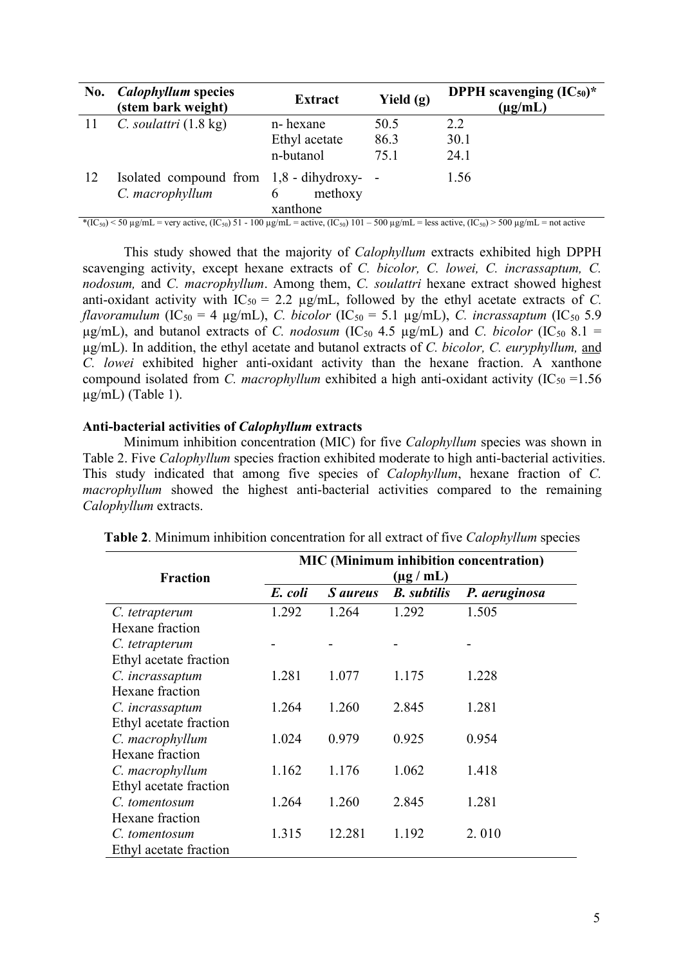| No. | <b>Calophyllum</b> species<br>(stem bark weight)             | <b>Extract</b>                       | Yield $(g)$ | <b>DPPH</b> scavenging $(IC_{50})^*$<br>$(\mu g/mL)$ |
|-----|--------------------------------------------------------------|--------------------------------------|-------------|------------------------------------------------------|
| -11 | C. soulattri $(1.8 \text{ kg})$                              | n-hexane                             | 50.5        | 2.2                                                  |
|     |                                                              | Ethyl acetate                        | 86.3        | 30.1                                                 |
|     |                                                              | n-butanol                            | 75.1        | 24.1                                                 |
| 12  | Isolated compound from 1,8 - dihydroxy- -<br>C. macrophyllum | methoxy<br>$\mathfrak b$<br>xanthone |             | 1.56                                                 |

\*(IC<sub>50</sub>) < 50 µg/mL = very active, (IC<sub>50</sub>) 51 - 100 µg/mL = active, (IC<sub>50</sub>) 101 - 500 µg/mL = less active, (IC<sub>50</sub>) > 500 µg/mL = not active

This study showed that the majority of *Calophyllum* extracts exhibited high DPPH scavenging activity, except hexane extracts of *C. bicolor, C. lowei, C. incrassaptum, C. nodosum,* and *C. macrophyllum.* Among them, *C. soulattri* hexane extract showed highest anti-oxidant activity with  $IC_{50} = 2.2 \mu g/mL$ , followed by the ethyl acetate extracts of *C*.<br>*flavoramulum* (IC<sub>50</sub> = 4  $\mu g/mL$ ), *C. bicolor* (IC<sub>50</sub> = 5.1  $\mu g/mL$ ), *C. incrassaptum* (IC<sub>50</sub> 5.9  $\mu$ g/mL), and butanol extracts of *C. nodosum* (IC<sub>50</sub> 4.5  $\mu$ g/mL) and *C. bicolor* (IC<sub>50</sub> 8.1 = µg/mL). In addition, the ethyl acetate and butanol extracts of *C. bicolor, C. euryphyllum,* and *C. lowei* exhibited higher anti-oxidant activity than the hexane fraction. A xanthone compound isolated from *C. macrophyllum* exhibited a high anti-oxidant activity  $(IC_{50} = 1.56)$  $\mu$ g/mL) (Table 1).

### **Anti-bacterial activities of***Calophyllum* **extracts**

Minimum inhibition concentration (MIC) for five *Calophyllum* species was shown in Table 2. Five *Calophyllum* species fraction exhibited moderate to high anti-bacterial activities. This study indicated that among five species of *Calophyllum*, hexane fraction of *C.macrophyllum* showed the highest anti-bacterial activities compared to the remaining *Calophyllum* extracts.

|                        | <b>MIC</b> (Minimum inhibition concentration) |                 |                    |               |  |
|------------------------|-----------------------------------------------|-----------------|--------------------|---------------|--|
| <b>Fraction</b>        | $(\mu g / mL)$                                |                 |                    |               |  |
|                        | E. coli                                       | <i>S aureus</i> | <b>B.</b> subtilis | P. aeruginosa |  |
| C. tetrapterum         | 1.292                                         | 1.264           | 1.292              | 1.505         |  |
| Hexane fraction        |                                               |                 |                    |               |  |
| C. tetrapterum         |                                               |                 |                    |               |  |
| Ethyl acetate fraction |                                               |                 |                    |               |  |
| C. incrassaptum        | 1.281                                         | 1.077           | 1.175              | 1.228         |  |
| Hexane fraction        |                                               |                 |                    |               |  |
| C. incrassaptum        | 1.264                                         | 1.260           | 2.845              | 1.281         |  |
| Ethyl acetate fraction |                                               |                 |                    |               |  |
| C. macrophyllum        | 1.024                                         | 0.979           | 0.925              | 0.954         |  |
| Hexane fraction        |                                               |                 |                    |               |  |
| C. macrophyllum        | 1.162                                         | 1.176           | 1.062              | 1.418         |  |
| Ethyl acetate fraction |                                               |                 |                    |               |  |
| C. tomentosum          | 1.264                                         | 1.260           | 2.845              | 1.281         |  |
| Hexane fraction        |                                               |                 |                    |               |  |
| C. tomentosum          | 1.315                                         | 12.281          | 1.192              | 2.010         |  |
| Ethyl acetate fraction |                                               |                 |                    |               |  |

| <b>Table 2.</b> Minimum inhibition concentration for all extract of five <i>Calophyllum</i> species |
|-----------------------------------------------------------------------------------------------------|
|-----------------------------------------------------------------------------------------------------|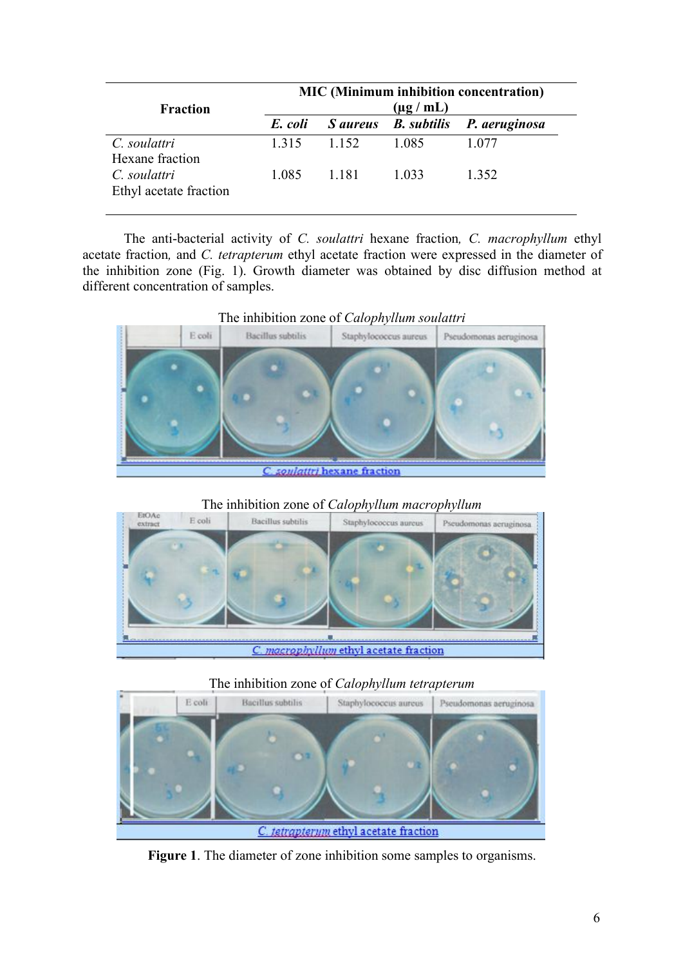| <b>Fraction</b>                        | <b>MIC</b> (Minimum inhibition concentration)<br>$(\mu g / mL)$ |       |       |                                    |  |
|----------------------------------------|-----------------------------------------------------------------|-------|-------|------------------------------------|--|
|                                        | E. coli                                                         |       |       | S aureus B. subtilis P. aeruginosa |  |
| C. soulattri<br>Hexane fraction        | 1.315                                                           | 1.152 | 1.085 | 1.077                              |  |
| C. soulattri<br>Ethyl acetate fraction | 1.085                                                           | 1.181 | 1.033 | 1.352                              |  |

The anti-bacterial activity of *C. soulattri* hexane fraction*, C. macrophyllum* ethyl acetate fraction*,* and *C. tetrapterum* ethyl acetate fraction were expressed in the diameter of the inhibition zone (Fig.1). Growth diameter was obtained by disc diffusion method at



The inhibition zone of *Calophyllum macrophyllum*



## The inhibition zone of *Calophyllum tetrapterum*



**Figure 1**. The diameter of zone inhibition some samples to organisms.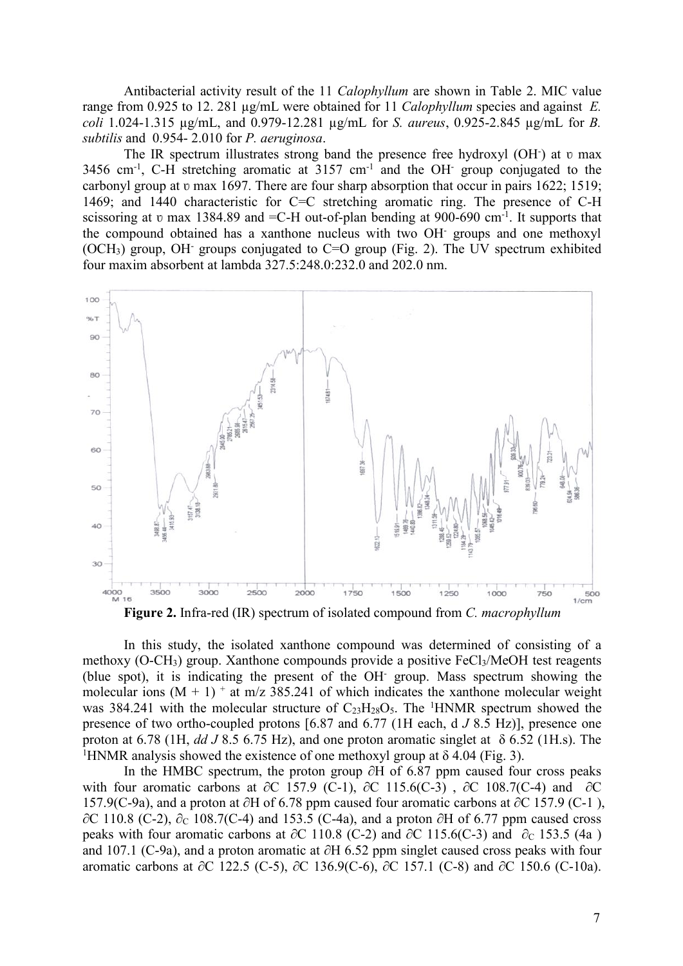Antibacterial activity result of the 11 *Calophyllum* are shown in Table 2. MIC value range from 0.925 to 12. 281 µg/mL were obtained for 11 *Calophyllum* species and against *E. coli* 1.024-1.315 µg/mL, and 0.979-12.281 µg/mL for *S. aureus*, 0.925-2.845 µg/mL for *B. subtilis* and 0.954- 2.010 for *P. aeruginosa*.

The IR spectrum illustrates strong band the presence free hydroxyl  $(OH^-)$  at  $v$  max 3456 cm-1 , C-H stretching aromatic at 3157 cm-1 and the OH- group conjugated to the carbonyl group at v max 1697. There are four sharp absorption that occur in pairs 1622; 1519; 1469; and 1440 characteristic for C=C stretching aromatic ring. The presence of C-H scissoring at v max 1384.89 and = C-H out-of-plan bending at 900-690 cm<sup>-1</sup>. It supports that the compound obtained has a xanthone nucleus with two OH- groups and one methoxyl (OCH<sub>3</sub>) group, OH<sup>-</sup> groups conjugated to C=O group (Fig. 2). The UV spectrum exhibited four maxim absorbent at lambda 327.5:248.0:232.0 and 202.0 nm.



**Figure 2.** Infra-red (IR) spectrum of isolated compound from *C. macrophyllum*

In this study, the isolated xanthone compound was determined of consisting of a methoxy (O-CH<sub>3</sub>) group. Xanthone compounds provide a positive  $FeCl<sub>3</sub>/MeOH$  test reagents (blue spot), it is indicating the present of the OH- group. Mass spectrum showing the molecular ions  $(M + 1)^+$  at m/z 385.241 of which indicates the xanthone molecular weight was 384.241 with the molecular structure of  $C_{23}H_{28}O_5$ . The <sup>1</sup>HNMR spectrum showed the presence of two ortho-coupled protons [6.87 and 6.77 (1H each, d *J* 8.5 Hz)], presence one proton at 6.78 (1H, *dd J* 8.5 6.75 Hz), and one proton aromatic singlet at δ 6.52 (1H.s). The <sup>1</sup>HNMR analysis showed the existence of one methoxyl group at  $\delta$  4.04 (Fig. 3).

In the HMBC spectrum, the proton group ∂H of 6.87 ppm caused four cross peaks with four aromatic carbons at ∂C 157.9 (C-1), ∂C 115.6(C-3), ∂C 108.7(C-4) and ∂C 157.9(C-9a), and a proton at ∂H of 6.78 ppm caused four aromatic carbons at ∂C 157.9 (C-1 ), ∂C 110.8 (C-2),  $\partial_c$  108.7(C-4) and 153.5 (C-4a), and a proton ∂H of 6.77 ppm caused cross peaks with four aromatic carbons at ∂C 110.8 (C-2) and ∂C 115.6(C-3) and ∂<sub>C</sub> 153.5 (4a) and 107.1 (C-9a), and a proton aromatic at ∂H 6.52 ppm singlet caused cross peaks with four aromatic carbons at ∂C 122.5 (C-5), ∂C 136.9(C-6), ∂C 157.1 (C-8) and ∂C 150.6 (C-10a).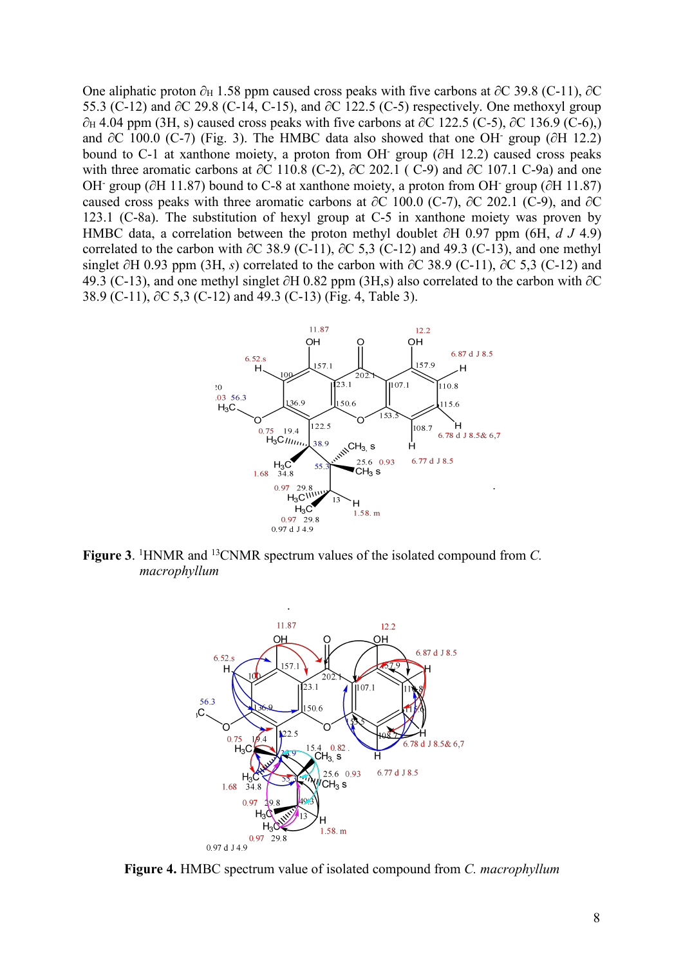One aliphatic proton  $\partial_H$  1.58 ppm caused cross peaks with five carbons at  $\partial C$  39.8 (C-11),  $\partial C$ 55.3 (C-12) and ∂C 29.8 (C-14, C-15), and ∂C 122.5 (C-5) respectively. One methoxyl group  $\partial_H$  4.04 ppm (3H, s) caused cross peaks with five carbons at ∂C 122.5 (C-5), ∂C 136.9 (C-6),) and  $\partial C$  100.0 (C-7) (Fig. 3). The HMBC data also showed that one OH group ( $\partial H$  12.2) bound to C-1 at xanthone moiety, a proton from OH- group (∂H 12.2) caused cross peaks with three aromatic carbons at ∂C 110.8 (C-2), ∂C 202.1 (C-9) and ∂C 107.1 C-9a) and one OH- group (∂H 11.87) bound to C-8 at xanthone moiety, a proton from OH- group (∂H 11.87) caused cross peaks with three aromatic carbons at ∂C 100.0 (C-7), ∂C 202.1 (C-9), and ∂C 123.1 (C-8a). The substitution of hexyl group at C-5 in xanthone moiety was proven by HMBC data, a correlation between the proton methyl doublet ∂H 0.97 ppm (6H, *d J* 4.9) correlated to the carbon with  $\partial C$  38.9 (C-11),  $\partial C$  5.3 (C-12) and 49.3 (C-13), and one methyl singlet ∂H 0.93 ppm (3H, *s*) correlated to the carbon with ∂C 38.9 (C-11), ∂C 5,3 (C-12) and 49.3 (C-13), and one methyl singlet ∂H 0.82 ppm (3H,s) also correlated to the carbon with ∂C 38.9 (C-11), ∂C 5,3 (C-12) and 49.3 (C-13) (Fig. 4, Table 3).



**Figure 3**. <sup>1</sup>HNMR and <sup>13</sup>CNMR spectrum values of the isolated compound from *C. macrophyllum*



**Figure 4.** HMBC spectrum value of isolated compound from *C. macrophyllum*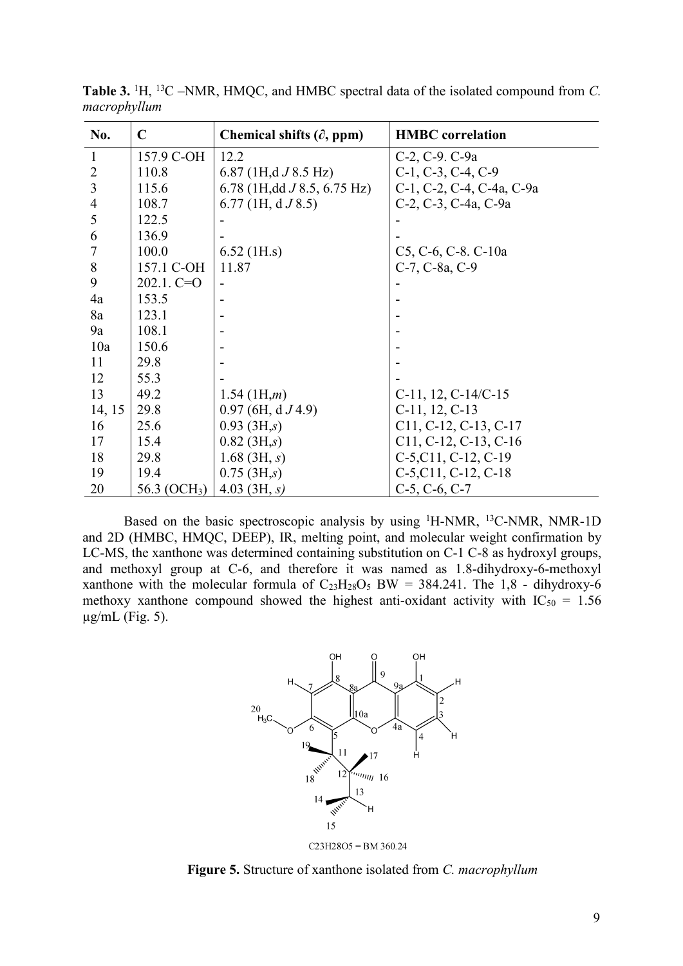| No.            | $\mathbf C$              | Chemical shifts $(\partial, ppm)$ | <b>HMBC</b> correlation       |
|----------------|--------------------------|-----------------------------------|-------------------------------|
| $\mathbf{1}$   | 157.9 C-OH               | 12.2                              | C-2, C-9. C-9a                |
| $\overline{2}$ | 110.8                    | 6.87 (1H,d $J$ 8.5 Hz)            | $C-1$ , $C-3$ , $C-4$ , $C-9$ |
| 3              | 115.6                    | 6.78 (1H, dd $J$ 8.5, 6.75 Hz)    | C-1, C-2, C-4, C-4a, C-9a     |
| $\overline{4}$ | 108.7                    | $6.77$ (1H, d $J$ 8.5)            | C-2, C-3, C-4a, C-9a          |
| 5              | 122.5                    |                                   |                               |
| 6              | 136.9                    |                                   |                               |
| 7              | 100.0                    | $6.52$ (1H.s)                     | C5, C-6, C-8. C-10a           |
| $8\,$          | 157.1 C-OH               | 11.87                             | C-7, C-8a, C-9                |
| 9              | $202.1. C=O$             |                                   |                               |
| 4a             | 153.5                    |                                   |                               |
| 8a             | 123.1                    |                                   |                               |
| 9a             | 108.1                    |                                   |                               |
| 10a            | 150.6                    |                                   |                               |
| 11             | 29.8                     |                                   |                               |
| 12             | 55.3                     |                                   |                               |
| 13             | 49.2                     | $1.54$ (1H, <i>m</i> )            | $C-11$ , 12, $C-14/C-15$      |
| 14, 15         | 29.8                     | $0.97$ (6H, d $J$ 4.9)            | $C-11$ , 12, $C-13$           |
| 16             | 25.6                     | 0.93~(3H,s)                       | $C11, C-12, C-13, C-17$       |
| 17             | 15.4                     | $0.82 \, (3H,s)$                  | $C11, C-12, C-13, C-16$       |
| 18             | 29.8                     | $1.68$ (3H, s)                    | $C-5, C11, C-12, C-19$        |
| 19             | 19.4                     | $0.75$ (3H,s)                     | $C-5, C11, C-12, C-18$        |
| 20             | 56.3 (OCH <sub>3</sub> ) | 4.03 $(3H, s)$                    | $C-5$ , $C-6$ , $C-7$         |

**Table 3.** <sup>1</sup>H, <sup>13</sup>C –NMR, HMQC, and HMBC spectral data of the isolated compound from *C. macrophyllum*

Based on the basic spectroscopic analysis by using <sup>1</sup>H-NMR, <sup>13</sup>C-NMR, NMR-1D and 2D (HMBC, HMQC, DEEP), IR, melting point, and molecular weight confirmation by LC-MS, the xanthone was determined containing substitution on C-1 C-8 as hydroxyl groups, and methoxyl group at C-6, and therefore it was named as 1.8-dihydroxy-6-methoxyl xanthone with the molecular formula of  $C_{23}H_{28}O_5$  BW = 384.241. The 1,8 - dihydroxy-6 methoxy xanthone compound showed the highest anti-oxidant activity with  $IC_{50} = 1.56$  $\mu$ g/mL (Fig. 5).



**Figure 5.** Structure of xanthone isolated from *C. macrophyllum*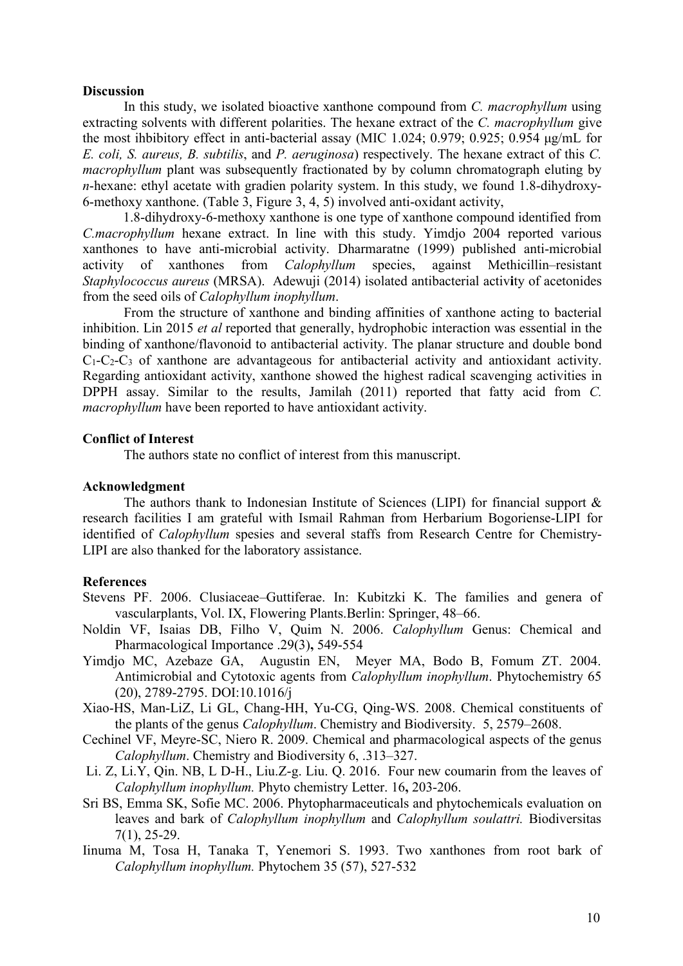#### **Discussion**

In this study, we isolated bioactive xanthone compound from *C. macrophyllum* using extracting solvents with different polarities. The hexane extract of the *C. macrophyllum* give the most ihbibitory effect in anti-bacterial assay (MIC 1.024; 0.979; 0.925; 0.954 μg/mL for *E. coli, S. aureus, B. subtilis*, and *P. aeruginosa*) respectively. The hexane extract of this *C. macrophyllum* plant was subsequently fractionated by by column chromatograph eluting by *n*-hexane: ethyl acetate with gradien polarity system. In this study, we found 1.8-dihydroxy-6-methoxy xanthone. (Table 3, Figure 3, 4, 5) involved anti-oxidant activity,

1.8-dihydroxy-6-methoxy xanthone is one type of xanthone compound identified from *C.macrophyllum* hexane extract. In line with this study. Yimdjo 2004 reported various xanthones to have anti-microbial activity. Dharmaratne (1999) published anti-microbial activity of xanthones from *Calophyllum* species, against Methicillin–resistant *Staphylococcus aureus* (MRSA). Adewuji (2014) isolated antibacterial activ**i**ty of acetonides from the seed oils of*Calophyllum inophyllum*.

From the structure of xanthone and binding affinities of xanthone acting to bacterial inhibition. Lin 2015 *et al* reported that generally, hydrophobic interaction was essential in the binding of xanthone/flavonoid to antibacterial activity. The planar structure and double bond  $C_1-C_2-C_3$  of xanthone are advantageous for antibacterial activity and antioxidant activity. Regarding antioxidant activity, xanthone showed the highest radical scavenging activities in DPPH assay. Similar to the results, Jamilah (2011) reported that fatty acid from *C. macrophyllum* have been reported to have antioxidant activity.

#### **Conflict of Interest**

The authors state no conflict of interest from this manuscript.

## **Acknowledgment**

The authors thank to Indonesian Institute of Sciences (LIPI) for financial support & research facilities I am grateful with Ismail Rahman from Herbarium Bogoriense-LIPI for identified of *Calophyllum* spesies and several staffs from Research Centre for Chemistry- LIPI are also thanked for the laboratory assistance.

### **References**

- Stevens PF. 2006. Clusiaceae–Guttiferae. In: Kubitzki K. The families and genera of vascularplants, Vol. IX, Flowering Plants.Berlin: Springer, 48–66.
- Noldin VF, Isaias DB, Filho V, Quim N. 2006. *Calophyllum* Genus: Chemical and Pharmacological Importance .29(3)**,** 549-554
- Yimdjo MC, Azebaze GA, Augustin EN, Meyer MA, Bodo B, Fomum ZT. 2004. Antimicrobial and Cytotoxic agents from *Calophyllum inophyllum*. Phytochemistry 65 (20), 2789-2795. DOI:10.1016/j
- Xiao-HS, Man-LiZ, Li GL, Chang-HH, Yu-CG, Qing-WS. 2008. Chemical constituents of the plants of the genus *Calophyllum*. Chemistry and Biodiversity. 5, 2579–2608.
- Cechinel VF, Meyre-SC, Niero R. 2009. Chemical and pharmacological aspects of the genus *Calophyllum*. Chemistry and Biodiversity 6, .313–327.
- Li. Z, Li.Y, Qin. NB, L D-H., Liu.Z-g. Liu. Q. 2016. Four new coumarin from the leaves of *Calophyllum inophyllum.* Phyto chemistry Letter. 16**,** 203-206.
- Sri BS, Emma SK, Sofie MC. 2006. Phytopharmaceuticals and phytochemicals evaluation on leaves and bark of *Calophyllum inophyllum* and *Calophyllum soulattri.* Biodiversitas 7(1), 25-29.
- Iinuma M, Tosa H, Tanaka T, Yenemori S. 1993. Two xanthones from root bark of *Calophyllum inophyllum.* Phytochem 35 (57), 527-532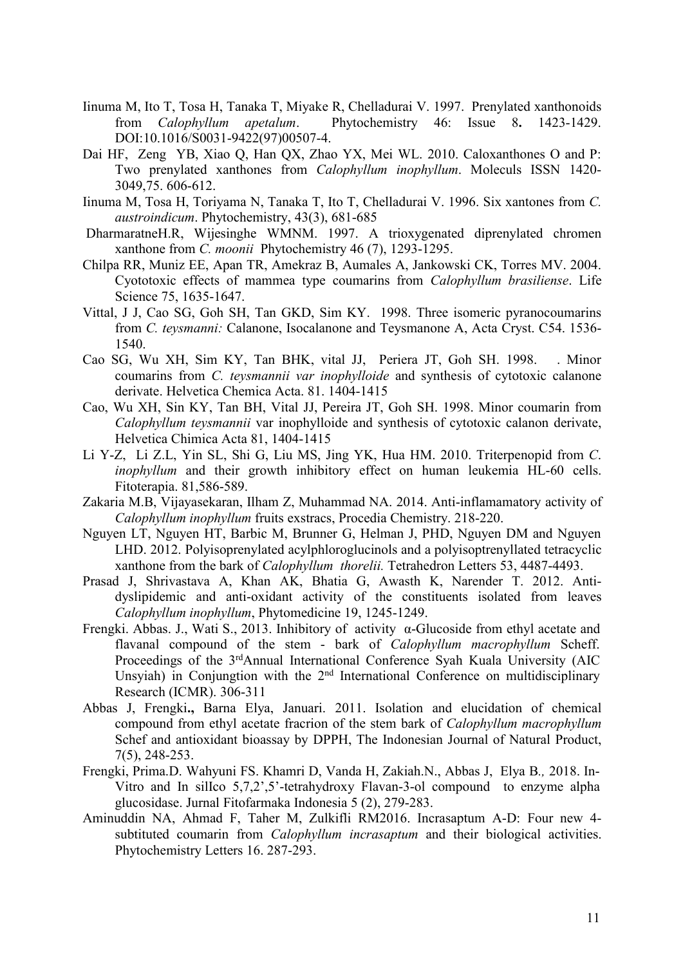- Iinuma M, Ito T, Tosa H, Tanaka T, Miyake R, Chelladurai V. 1997. Prenylated xanthonoids from *Calophyllum apetalum*. Phytochemistry 46: Issue 8**.** 1423-1429. DOI:10.1016/S0031-9422(97)00507-4.
- Dai HF, Zeng YB, Xiao Q, Han QX, Zhao YX, Mei WL. 2010. Caloxanthones O and P: Two prenylated xanthones from *Calophyllum inophyllum*. Moleculs ISSN 1420- 3049,75. 606-612.
- Iinuma M, Tosa H, Toriyama N, Tanaka T, Ito T,Chelladurai V. 1996. Six xantones from *C. austroindicum*. Phytochemistry, 43(3), 681-685
- DharmaratneH.R, Wijesinghe WMNM. 1997. A trioxygenated diprenylated chromen xanthone from *C. moonii* Phytochemistry 46 (7), 1293-1295.
- Chilpa RR, Muniz EE, Apan TR, Amekraz B, Aumales A, Jankowski CK, Torres MV. 2004. Cyototoxic effects of mammea type coumarins from *Calophyllum brasiliense*. Life Science 75, 1635-1647.
- Vittal, J J, Cao SG, Goh SH, Tan GKD, Sim KY. 1998. Three isomeric pyranocoumarins from *C. teysmanni:* Calanone, Isocalanone and Teysmanone A, Acta Cryst. C54. 1536- 1540.
- Cao SG, Wu XH, Sim KY, Tan BHK, vital JJ, Periera JT, Goh SH. 1998. . Minor coumarins from *C. teysmannii var inophylloide* and synthesis of cytotoxic calanone derivate. Helvetica Chemica Acta. 81. 1404-1415
- Cao, Wu XH, Sin KY, Tan BH, Vital JJ, Pereira JT, Goh SH. 1998. Minor coumarin from *Calophyllum teysmannii* var inophylloide and synthesis of cytotoxic calanon derivate, Helvetica Chimica Acta 81,1404-1415
- Li Y-Z, Li Z.L, Yin SL, Shi G,Liu MS, Jing YK, Hua HM. 2010. Triterpenopid from *C*. *inophyllum* and their growth inhibitory effect on human leukemia HL-60 cells. Fitoterapia. 81,586-589.
- Zakaria M.B, Vijayasekaran, Ilham Z, Muhammad NA. 2014. Anti-inflamamatory activity of *Calophyllum inophyllum* fruits exstracs, Procedia Chemistry. 218-220.
- Nguyen LT, Nguyen HT, Barbic M, Brunner G, Helman J, PHD, Nguyen DM and Nguyen LHD. 2012. Polyisoprenylated acylphloroglucinols and a polyisoptrenyllated tetracyclic xanthone from the bark of *Calophyllum thorelii.* Tetrahedron Letters 53, 4487-4493.
- Prasad J, Shrivastava A, Khan AK, Bhatia G, Awasth K, Narender T.2012. Anti dyslipidemic and anti-oxidant activity of the constituents isolated from leaves *Calophyllum inophyllum*, Phytomedicine 19, 1245-1249.
- Frengki. Abbas. J., Wati S., 2013. Inhibitory of activity α-Glucoside from ethyl acetate and flavanal compound of the stem - bark of *Calophyllum macrophyllum* Scheff. Proceedings of the 3<sup>rd</sup>Annual International Conference Syah Kuala University (AIC Unsyiah) in Conjungtion with the 2<sup>nd</sup> International Conference on multidisciplinary Research (ICMR). 306-311
- Abbas J, Frengki**.,** Barna Elya, Januari. 2011. Isolation and elucidation of chemical compound from ethyl acetate fracrion of the stem bark of *Calophyllum macrophyllum* Schef and antioxidant bioassay by DPPH, The Indonesian Journal of Natural Product, 7(5), 248-253.
- Frengki, Prima.D. Wahyuni FS. Khamri D, Vanda H, Zakiah.N., Abbas J, Elya B*.,* 2018. In- Vitro and In silIco 5,7,2',5'-tetrahydroxy Flavan-3-ol compound to enzyme alpha glucosidase. Jurnal Fitofarmaka Indonesia 5 (2), 279-283.
- Aminuddin NA, Ahmad F, Taher M, Zulkifli RM2016. Incrasaptum A-D: Four new 4-subtituted coumarin from *Calophyllum incrasaptum* and their biological activities. Phytochemistry Letters 16. 287-293.